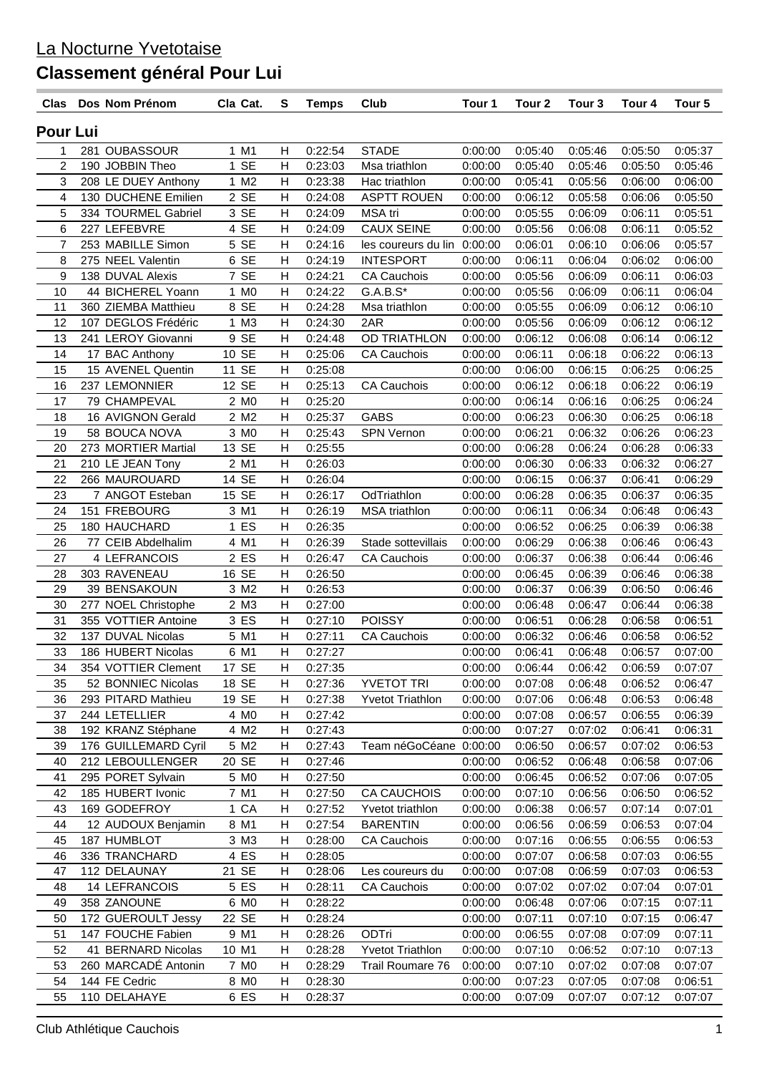| Clas           | Dos Nom Prénom                           | Cla Cat.         | S      | <b>Temps</b>       | Club                        | Tour 1             | Tour 2             | Tour 3             | Tour 4             | Tour <sub>5</sub>  |
|----------------|------------------------------------------|------------------|--------|--------------------|-----------------------------|--------------------|--------------------|--------------------|--------------------|--------------------|
| Pour Lui       |                                          |                  |        |                    |                             |                    |                    |                    |                    |                    |
| 1              | 281 OUBASSOUR                            | 1 M1             | H      | 0:22:54            | <b>STADE</b>                | 0:00:00            | 0:05:40            | 0:05:46            | 0:05:50            | 0:05:37            |
| $\overline{2}$ | 190 JOBBIN Theo                          | 1 SE             | H      | 0:23:03            | Msa triathlon               | 0:00:00            | 0:05:40            | 0:05:46            | 0:05:50            | 0:05:46            |
| $\mathbf{3}$   | 208 LE DUEY Anthony                      | 1 M2             | Н      | 0:23:38            | Hac triathlon               | 0:00:00            | 0:05:41            | 0:05:56            | 0:06:00            | 0:06:00            |
| 4              | 130 DUCHENE Emilien                      | 2 SE             | Н      | 0:24:08            | <b>ASPTT ROUEN</b>          | 0:00:00            | 0:06:12            | 0:05:58            | 0:06:06            | 0:05:50            |
| 5              | 334 TOURMEL Gabriel                      | 3 SE             | Н      | 0:24:09            | MSA tri                     | 0:00:00            | 0:05:55            | 0:06:09            | 0:06:11            | 0:05:51            |
| 6              | 227 LEFEBVRE                             | 4 SE             | Н      | 0:24:09            | <b>CAUX SEINE</b>           | 0:00:00            | 0:05:56            | 0:06:08            | 0:06:11            | 0:05:52            |
| $\overline{7}$ | 253 MABILLE Simon                        | 5 SE             | H      | 0:24:16            | les coureurs du lin 0:00:00 |                    | 0:06:01            | 0:06:10            | 0:06:06            | 0:05:57            |
| 8              | 275 NEEL Valentin                        | 6 SE             | Н      | 0:24:19            | <b>INTESPORT</b>            | 0:00:00            | 0:06:11            | 0:06:04            | 0:06:02            | 0:06:00            |
| 9              | 138 DUVAL Alexis                         | 7 SE             | Н      | 0:24:21            | <b>CA Cauchois</b>          | 0:00:00            | 0:05:56            | 0:06:09            | 0:06:11            | 0:06:03            |
| 10             | 44 BICHEREL Yoann                        | 1 M <sub>0</sub> | Н      | 0:24:22            | $G.A.B.S*$                  | 0:00:00            | 0:05:56            | 0:06:09            | 0:06:11            | 0:06:04            |
| 11             | 360 ZIEMBA Matthieu                      | 8 SE             | Н      | 0:24:28            | Msa triathlon               | 0:00:00            | 0:05:55            | 0:06:09            | 0:06:12            | 0:06:10            |
| 12             | 107 DEGLOS Frédéric                      | 1 M3             | H      | 0:24:30            | 2AR                         | 0:00:00            | 0:05:56            | 0:06:09            | 0:06:12            | 0:06:12            |
| 13             | 241 LEROY Giovanni                       | 9 SE             | Н      | 0:24:48            | OD TRIATHLON                | 0:00:00            | 0:06:12            | 0:06:08            | 0:06:14            | 0:06:12            |
| 14<br>15       | 17 BAC Anthony<br>15 AVENEL Quentin      | 10 SE<br>11 SE   | Н<br>Н | 0:25:06<br>0:25:08 | <b>CA Cauchois</b>          | 0:00:00            | 0:06:11<br>0:06:00 | 0:06:18<br>0:06:15 | 0:06:22            | 0:06:13<br>0:06:25 |
| 16             | 237 LEMONNIER                            | 12 SE            | Н      | 0:25:13            | <b>CA Cauchois</b>          | 0:00:00<br>0:00:00 | 0:06:12            | 0:06:18            | 0:06:25<br>0:06:22 | 0:06:19            |
| 17             | 79 CHAMPEVAL                             | 2 M <sub>0</sub> | Н      | 0:25:20            |                             | 0:00:00            | 0:06:14            | 0:06:16            | 0:06:25            | 0:06:24            |
| 18             | 16 AVIGNON Gerald                        | 2 M2             | H      | 0:25:37            | <b>GABS</b>                 | 0:00:00            | 0:06:23            | 0:06:30            | 0:06:25            | 0:06:18            |
| 19             | 58 BOUCA NOVA                            | 3 MO             | Н      | 0:25:43            | <b>SPN Vernon</b>           | 0:00:00            | 0:06:21            | 0:06:32            | 0:06:26            | 0:06:23            |
| 20             | 273 MORTIER Martial                      | 13 SE            | Н      | 0:25:55            |                             | 0:00:00            | 0:06:28            | 0:06:24            | 0:06:28            | 0:06:33            |
| 21             | 210 LE JEAN Tony                         | 2 M1             | Н      | 0:26:03            |                             | 0:00:00            | 0:06:30            | 0:06:33            | 0:06:32            | 0:06:27            |
| 22             | 266 MAUROUARD                            | 14 SE            | H      | 0:26:04            |                             | 0:00:00            | 0:06:15            | 0:06:37            | 0:06:41            | 0:06:29            |
| 23             | 7 ANGOT Esteban                          | 15 SE            | Н      | 0:26:17            | OdTriathlon                 | 0:00:00            | 0:06:28            | 0:06:35            | 0:06:37            | 0:06:35            |
| 24             | 151 FREBOURG                             | 3 M1             | Н      | 0:26:19            | <b>MSA</b> triathlon        | 0:00:00            | 0:06:11            | 0:06:34            | 0:06:48            | 0:06:43            |
| 25             | 180 HAUCHARD                             | 1 ES             | Н      | 0:26:35            |                             | 0:00:00            | 0:06:52            | 0:06:25            | 0:06:39            | 0:06:38            |
| 26             | 77 CEIB Abdelhalim                       | 4 M1             | Н      | 0:26:39            | Stade sottevillais          | 0:00:00            | 0:06:29            | 0:06:38            | 0:06:46            | 0:06:43            |
| 27             | 4 LEFRANCOIS                             | 2 ES             | Н      | 0:26:47            | <b>CA Cauchois</b>          | 0:00:00            | 0:06:37            | 0:06:38            | 0:06:44            | 0:06:46            |
| 28             | 303 RAVENEAU                             | 16 SE            | H      | 0:26:50            |                             | 0:00:00            | 0:06:45            | 0:06:39            | 0:06:46            | 0:06:38            |
| 29             | 39 BENSAKOUN                             | 3 M2             | Н      | 0:26:53            |                             | 0:00:00            | 0:06:37            | 0:06:39            | 0:06:50            | 0:06:46            |
| 30             | 277 NOEL Christophe                      | 2 M3             | Н      | 0:27:00            |                             | 0:00:00            | 0:06:48            | 0:06:47            | 0:06:44            | 0:06:38            |
| 31             | 355 VOTTIER Antoine                      | 3 ES             | Н      | 0:27:10            | <b>POISSY</b>               | 0:00:00            | 0:06:51            | 0:06:28            | 0:06:58            | 0:06:51            |
| 32             | 137 DUVAL Nicolas                        | 5 M1             | H      | 0:27:11            | <b>CA Cauchois</b>          | 0:00:00            | 0:06:32            | 0:06:46            | 0:06:58            | 0:06:52            |
| 33             | 186 HUBERT Nicolas                       | 6 M1             | H      | 0:27:27            |                             | 0:00:00            | 0:06:41            | 0:06:48            | 0:06:57            | 0:07:00            |
| 34             | 354 VOTTIER Clement                      | 17 SE            | н      | 0:27:35            |                             | 0:00:00            | 0:06:44            | 0:06:42            | 0:06:59            | 0:07:07            |
| 35<br>36       | 52 BONNIEC Nicolas<br>293 PITARD Mathieu | 18 SE<br>19 SE   | H      | 0:27:36            | <b>YVETOT TRI</b>           | 0:00:00            | 0:07:08<br>0:07:06 | 0:06:48            | 0:06:52            | 0:06:47            |
| 37             | 244 LETELLIER                            | 4 M <sub>0</sub> | H<br>Н | 0:27:38<br>0:27:42 | <b>Yvetot Triathlon</b>     | 0:00:00<br>0:00:00 | 0:07:08            | 0:06:48<br>0:06:57 | 0:06:53<br>0:06:55 | 0:06:48<br>0:06:39 |
| 38             | 192 KRANZ Stéphane                       | 4 M2             | Н      | 0:27:43            |                             | 0:00:00            | 0:07:27            | 0:07:02            | 0:06:41            | 0:06:31            |
| 39             | 176 GUILLEMARD Cyril                     | 5 M2             | Н      | 0:27:43            | Team néGoCéane 0:00:00      |                    | 0:06:50            | 0:06:57            | 0:07:02            | 0:06:53            |
| 40             | 212 LEBOULLENGER                         | 20 SE            | Н      | 0:27:46            |                             | 0:00:00            | 0:06:52            | 0:06:48            | 0:06:58            | 0:07:06            |
| 41             | 295 PORET Sylvain                        | 5 MO             | Н      | 0:27:50            |                             | 0:00:00            | 0:06:45            | 0:06:52            | 0:07:06            | 0:07:05            |
| 42             | 185 HUBERT Ivonic                        | 7 M1             | Н      | 0:27:50            | <b>CA CAUCHOIS</b>          | 0:00:00            | 0:07:10            | 0:06:56            | 0:06:50            | 0:06:52            |
| 43             | 169 GODEFROY                             | 1 CA             | Н      | 0:27:52            | Yvetot triathlon            | 0:00:00            | 0:06:38            | 0:06:57            | 0:07:14            | 0:07:01            |
| 44             | 12 AUDOUX Benjamin                       | 8 M1             | н      | 0:27:54            | <b>BARENTIN</b>             | 0:00:00            | 0:06:56            | 0:06:59            | 0:06:53            | 0:07:04            |
| 45             | 187 HUMBLOT                              | 3 M3             | н      | 0:28:00            | <b>CA Cauchois</b>          | 0:00:00            | 0:07:16            | 0:06:55            | 0:06:55            | 0:06:53            |
| 46             | 336 TRANCHARD                            | 4 ES             | н      | 0:28:05            |                             | 0:00:00            | 0:07:07            | 0:06:58            | 0:07:03            | 0:06:55            |
| 47             | 112 DELAUNAY                             | 21 SE            | Н      | 0:28:06            | Les coureurs du             | 0:00:00            | 0:07:08            | 0:06:59            | 0:07:03            | 0:06:53            |
| 48             | 14 LEFRANCOIS                            | 5 ES             | Н      | 0:28:11            | <b>CA Cauchois</b>          | 0:00:00            | 0:07:02            | 0:07:02            | 0:07:04            | 0:07:01            |
| 49             | 358 ZANOUNE                              | 6 MO             | Н      | 0:28:22            |                             | 0:00:00            | 0:06:48            | 0:07:06            | 0:07:15            | 0:07:11            |
| 50             | 172 GUEROULT Jessy                       | 22 SE            | н      | 0:28:24            |                             | 0:00:00            | 0:07:11            | 0:07:10            | 0:07:15            | 0:06:47            |
| 51             | 147 FOUCHE Fabien                        | 9 M1             | Н      | 0:28:26            | ODTri                       | 0:00:00            | 0:06:55            | 0:07:08            | 0:07:09            | 0:07:11            |
| 52             | 41 BERNARD Nicolas                       | 10 M1            | Н      | 0:28:28            | <b>Yvetot Triathlon</b>     | 0:00:00            | 0:07:10            | 0:06:52            | 0:07:10            | 0:07:13            |
| 53             | 260 MARCADE Antonin                      | 7 M <sub>0</sub> | н      | 0:28:29            | Trail Roumare 76            | 0:00:00            | 0:07:10            | 0:07:02            | 0:07:08            | 0:07:07            |
| 54             | 144 FE Cedric                            | 8 M <sub>0</sub> | н      | 0:28:30            |                             | 0:00:00            | 0:07:23            | 0:07:05            | 0:07:08            | 0:06:51            |
| 55             | 110 DELAHAYE                             | 6 ES             | H      | 0:28:37            |                             | 0:00:00            | 0:07:09            | 0:07:07            | 0:07:12            | 0:07:07            |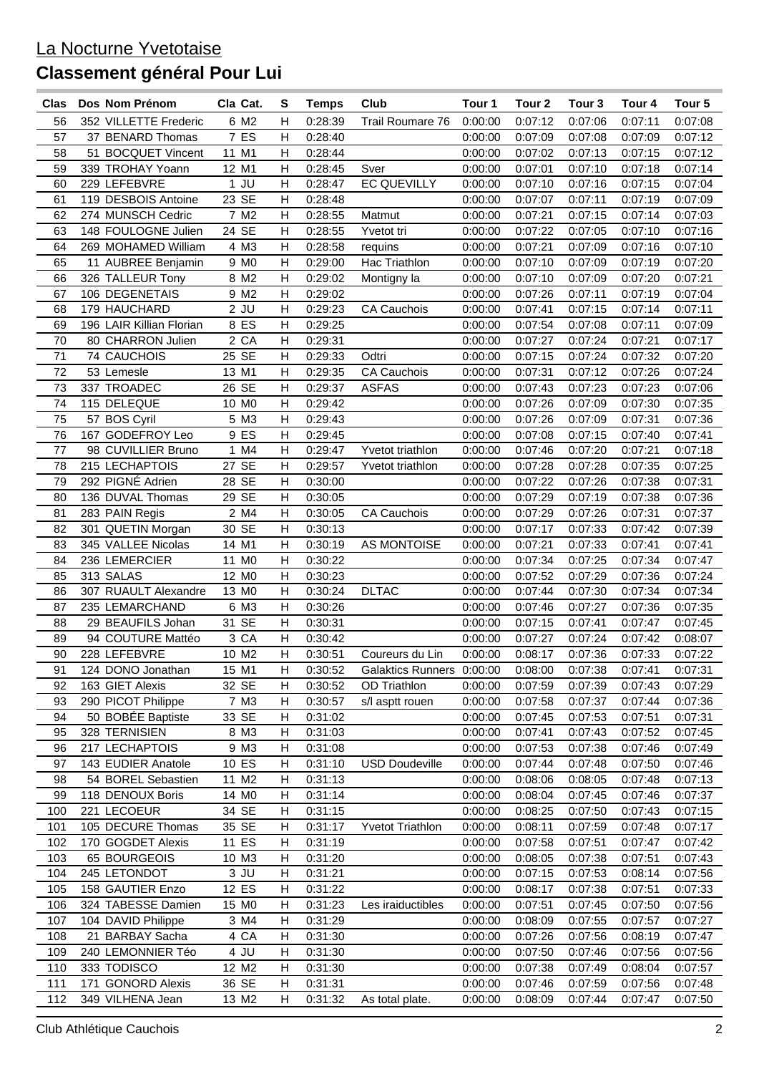| Clas | Dos Nom Prénom      |                          | Cla Cat.          | s                         | <b>Temps</b> | Club                      | Tour 1  | Tour 2  | Tour 3  | Tour 4  | Tour 5  |
|------|---------------------|--------------------------|-------------------|---------------------------|--------------|---------------------------|---------|---------|---------|---------|---------|
| 56   |                     | 352 VILLETTE Frederic    | 6 M2              | Н                         | 0:28:39      | Trail Roumare 76          | 0:00:00 | 0:07:12 | 0:07:06 | 0:07:11 | 0:07:08 |
| 57   |                     | 37 BENARD Thomas         | 7 ES              | Н                         | 0:28:40      |                           | 0:00:00 | 0:07:09 | 0:07:08 | 0:07:09 | 0:07:12 |
| 58   |                     | 51 BOCQUET Vincent       | 11 M1             | Н                         | 0:28:44      |                           | 0:00:00 | 0:07:02 | 0:07:13 | 0:07:15 | 0:07:12 |
| 59   | 339 TROHAY Yoann    |                          | 12 M1             | H                         | 0:28:45      | Sver                      | 0:00:00 | 0:07:01 | 0:07:10 | 0:07:18 | 0:07:14 |
| 60   | 229 LEFEBVRE        |                          | $1$ JU            | н                         | 0:28:47      | <b>EC QUEVILLY</b>        | 0:00:00 | 0:07:10 | 0:07:16 | 0:07:15 | 0:07:04 |
| 61   | 119 DESBOIS Antoine |                          | 23 SE             | Н                         | 0:28:48      |                           | 0:00:00 | 0:07:07 | 0:07:11 | 0:07:19 | 0:07:09 |
| 62   | 274 MUNSCH Cedric   |                          | 7 M2              | н                         | 0:28:55      | Matmut                    | 0:00:00 | 0:07:21 | 0:07:15 | 0:07:14 | 0:07:03 |
| 63   |                     | 148 FOULOGNE Julien      | 24 SE             | Н                         | 0:28:55      | Yvetot tri                | 0:00:00 | 0:07:22 | 0:07:05 | 0:07:10 | 0:07:16 |
| 64   |                     | 269 MOHAMED William      | 4 M3              | н                         | 0:28:58      | requins                   | 0:00:00 | 0:07:21 | 0:07:09 | 0:07:16 | 0:07:10 |
| 65   |                     | 11 AUBREE Benjamin       | 9 M <sub>0</sub>  | н                         | 0:29:00      | Hac Triathlon             |         | 0:07:10 | 0:07:09 |         |         |
|      |                     |                          |                   | H                         |              |                           | 0:00:00 |         |         | 0:07:19 | 0:07:20 |
| 66   | 326 TALLEUR Tony    |                          | 8 M2              |                           | 0:29:02      | Montigny la               | 0:00:00 | 0:07:10 | 0:07:09 | 0:07:20 | 0:07:21 |
| 67   | 106 DEGENETAIS      |                          | 9 M <sub>2</sub>  | н                         | 0:29:02      |                           | 0:00:00 | 0:07:26 | 0:07:11 | 0:07:19 | 0:07:04 |
| 68   | 179 HAUCHARD        |                          | $2$ JU            | $\mathsf{H}$              | 0:29:23      | <b>CA Cauchois</b>        | 0:00:00 | 0:07:41 | 0:07:15 | 0:07:14 | 0:07:11 |
| 69   |                     | 196 LAIR Killian Florian | 8 ES              | H                         | 0:29:25      |                           | 0:00:00 | 0:07:54 | 0:07:08 | 0:07:11 | 0:07:09 |
| 70   |                     | 80 CHARRON Julien        | 2 CA              | $\mathsf{H}$              | 0:29:31      |                           | 0:00:00 | 0:07:27 | 0:07:24 | 0:07:21 | 0:07:17 |
| 71   | 74 CAUCHOIS         |                          | 25 SE             | н                         | 0:29:33      | Odtri                     | 0:00:00 | 0:07:15 | 0:07:24 | 0:07:32 | 0:07:20 |
| 72   | 53 Lemesle          |                          | 13 M1             | Н                         | 0:29:35      | CA Cauchois               | 0:00:00 | 0:07:31 | 0:07:12 | 0:07:26 | 0:07:24 |
| 73   | 337 TROADEC         |                          | 26 SE             | Н                         | 0:29:37      | <b>ASFAS</b>              | 0:00:00 | 0:07:43 | 0:07:23 | 0:07:23 | 0:07:06 |
| 74   | 115 DELEQUE         |                          | 10 M <sub>0</sub> | H                         | 0:29:42      |                           | 0:00:00 | 0:07:26 | 0:07:09 | 0:07:30 | 0:07:35 |
| 75   | 57 BOS Cyril        |                          | 5 M3              | н                         | 0:29:43      |                           | 0:00:00 | 0:07:26 | 0:07:09 | 0:07:31 | 0:07:36 |
| 76   | 167 GODEFROY Leo    |                          | 9 ES              | н                         | 0:29:45      |                           | 0:00:00 | 0:07:08 | 0:07:15 | 0:07:40 | 0:07:41 |
| 77   |                     | 98 CUVILLIER Bruno       | 1 M4              | н                         | 0:29:47      | Yvetot triathlon          | 0:00:00 | 0:07:46 | 0:07:20 | 0:07:21 | 0:07:18 |
| 78   | 215 LECHAPTOIS      |                          | 27 SE             | H                         | 0:29:57      | Yvetot triathlon          | 0:00:00 | 0:07:28 | 0:07:28 | 0:07:35 | 0:07:25 |
| 79   | 292 PIGNÉ Adrien    |                          | 28 SE             | H                         | 0:30:00      |                           | 0:00:00 | 0:07:22 | 0:07:26 | 0:07:38 | 0:07:31 |
| 80   | 136 DUVAL Thomas    |                          | 29 SE             | H                         | 0:30:05      |                           | 0:00:00 | 0:07:29 | 0:07:19 | 0:07:38 | 0:07:36 |
| 81   | 283 PAIN Regis      |                          | 2 M4              | Н                         | 0:30:05      | <b>CA Cauchois</b>        | 0:00:00 | 0:07:29 | 0:07:26 | 0:07:31 | 0:07:37 |
| 82   | 301 QUETIN Morgan   |                          | 30 SE             | н                         | 0:30:13      |                           | 0:00:00 | 0:07:17 | 0:07:33 | 0:07:42 | 0:07:39 |
| 83   | 345 VALLEE Nicolas  |                          | 14 M1             | Н                         | 0:30:19      | <b>AS MONTOISE</b>        | 0:00:00 | 0:07:21 | 0:07:33 | 0:07:41 | 0:07:41 |
| 84   | 236 LEMERCIER       |                          | 11 M <sub>0</sub> | H                         | 0:30:22      |                           | 0:00:00 | 0:07:34 | 0:07:25 | 0:07:34 | 0:07:47 |
| 85   | 313 SALAS           |                          | 12 M <sub>0</sub> | н                         | 0:30:23      |                           | 0:00:00 | 0:07:52 | 0:07:29 | 0:07:36 | 0:07:24 |
| 86   |                     | 307 RUAULT Alexandre     | 13 M <sub>0</sub> | H                         | 0:30:24      | <b>DLTAC</b>              | 0:00:00 | 0:07:44 | 0:07:30 | 0:07:34 | 0:07:34 |
| 87   | 235 LEMARCHAND      |                          | 6 M3              | н                         | 0:30:26      |                           | 0:00:00 | 0:07:46 | 0:07:27 | 0:07:36 | 0:07:35 |
| 88   |                     | 29 BEAUFILS Johan        | 31 SE             | H                         | 0:30:31      |                           | 0:00:00 | 0:07:15 | 0:07:41 | 0:07:47 | 0:07:45 |
| 89   |                     | 94 COUTURE Mattéo        | 3 CA              | $\mathsf{H}$              | 0:30:42      |                           | 0:00:00 | 0:07:27 | 0:07:24 | 0:07:42 | 0:08:07 |
| 90   | 228 LEFEBVRE        |                          | 10 M2             | $\overline{H}$            | 0:30:51      | Coureurs du Lin           | 0:00:00 | 0:08:17 | 0:07:36 | 0:07:33 | 0:07:22 |
| 91   | 124 DONO Jonathan   |                          | 15 M1             | $\boldsymbol{\mathsf{H}}$ | 0:30:52      | Galaktics Runners 0:00:00 |         | 0:08:00 | 0:07:38 | 0:07:41 | 0:07:31 |
| 92   | 163 GIET Alexis     |                          | 32 SE             | H                         | 0:30:52      | OD Triathlon              | 0:00:00 | 0:07:59 | 0:07:39 | 0:07:43 | 0:07:29 |
|      |                     |                          |                   |                           |              |                           |         |         |         |         |         |
| 93   | 290 PICOT Philippe  |                          | 7 M3              | н                         | 0:30:57      | s/l asptt rouen           | 0:00:00 | 0:07:58 | 0:07:37 | 0:07:44 | 0:07:36 |
| 94   | 50 BOBÉE Baptiste   |                          | 33 SE             | Н                         | 0:31:02      |                           | 0:00:00 | 0:07:45 | 0:07:53 | 0:07:51 | 0:07:31 |
| 95   | 328 TERNISIEN       |                          | 8 M3              | Н                         | 0:31:03      |                           | 0:00:00 | 0:07:41 | 0:07:43 | 0:07:52 | 0:07:45 |
| 96   | 217 LECHAPTOIS      |                          | 9 M3              | н                         | 0:31:08      |                           | 0:00:00 | 0:07:53 | 0:07:38 | 0:07:46 | 0:07:49 |
| 97   | 143 EUDIER Anatole  |                          | 10 ES             | H                         | 0:31:10      | <b>USD Doudeville</b>     | 0:00:00 | 0:07:44 | 0:07:48 | 0:07:50 | 0:07:46 |
| 98   |                     | 54 BOREL Sebastien       | 11 M2             | н                         | 0:31:13      |                           | 0:00:00 | 0:08:06 | 0:08:05 | 0:07:48 | 0:07:13 |
| 99   | 118 DENOUX Boris    |                          | 14 M <sub>0</sub> | н                         | 0:31:14      |                           | 0:00:00 | 0:08:04 | 0:07:45 | 0:07:46 | 0:07:37 |
| 100  | 221 LECOEUR         |                          | 34 SE             | Н                         | 0:31:15      |                           | 0:00:00 | 0:08:25 | 0:07:50 | 0:07:43 | 0:07:15 |
| 101  |                     | 105 DECURE Thomas        | 35 SE             | Н                         | 0:31:17      | <b>Yvetot Triathlon</b>   | 0:00:00 | 0:08:11 | 0:07:59 | 0:07:48 | 0:07:17 |
| 102  | 170 GOGDET Alexis   |                          | 11 ES             | н                         | 0:31:19      |                           | 0:00:00 | 0:07:58 | 0:07:51 | 0:07:47 | 0:07:42 |
| 103  | 65 BOURGEOIS        |                          | 10 M3             | н                         | 0:31:20      |                           | 0:00:00 | 0:08:05 | 0:07:38 | 0:07:51 | 0:07:43 |
| 104  | 245 LETONDOT        |                          | $3$ JU            | н                         | 0:31:21      |                           | 0:00:00 | 0:07:15 | 0:07:53 | 0:08:14 | 0:07:56 |
| 105  | 158 GAUTIER Enzo    |                          | 12 ES             | Н                         | 0:31:22      |                           | 0:00:00 | 0:08:17 | 0:07:38 | 0:07:51 | 0:07:33 |
| 106  |                     | 324 TABESSE Damien       | 15 M <sub>0</sub> | н                         | 0:31:23      | Les iraiductibles         | 0:00:00 | 0:07:51 | 0:07:45 | 0:07:50 | 0:07:56 |
| 107  | 104 DAVID Philippe  |                          | 3 M4              | н                         | 0:31:29      |                           | 0:00:00 | 0:08:09 | 0:07:55 | 0:07:57 | 0:07:27 |
| 108  | 21 BARBAY Sacha     |                          | 4 CA              | н                         | 0:31:30      |                           | 0:00:00 | 0:07:26 | 0:07:56 | 0:08:19 | 0:07:47 |
| 109  | 240 LEMONNIER Téo   |                          | 4 JU              | н                         | 0:31:30      |                           | 0:00:00 | 0:07:50 | 0:07:46 | 0:07:56 | 0:07:56 |
| 110  | 333 TODISCO         |                          | 12 M2             | Н                         | 0:31:30      |                           | 0:00:00 | 0:07:38 | 0:07:49 | 0:08:04 | 0:07:57 |
| 111  | 171 GONORD Alexis   |                          | 36 SE             | Н                         | 0:31:31      |                           | 0:00:00 | 0:07:46 | 0:07:59 | 0:07:56 | 0:07:48 |
| 112  | 349 VILHENA Jean    |                          | 13 M2             | H                         | 0:31:32      | As total plate.           | 0:00:00 | 0:08:09 | 0:07:44 | 0:07:47 | 0:07:50 |
|      |                     |                          |                   |                           |              |                           |         |         |         |         |         |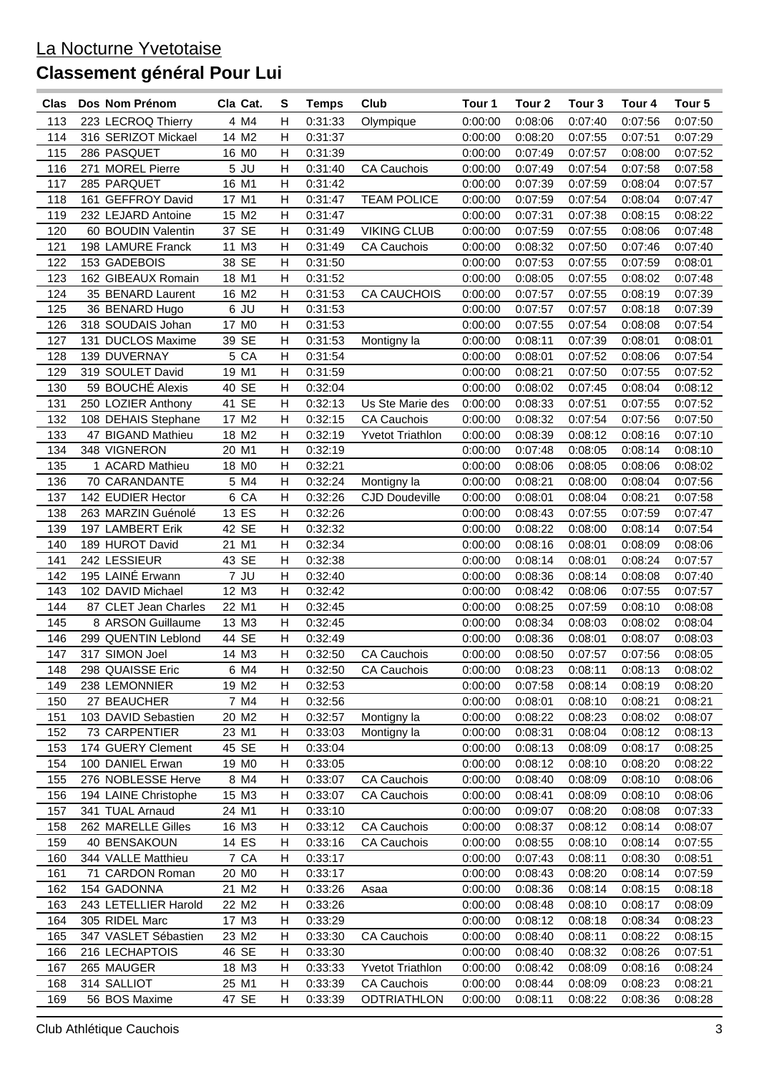| Clas | Dos Nom Prénom       | Cla Cat.          | S              | <b>Temps</b> | Club                    | Tour 1  | Tour 2  | Tour <sub>3</sub> | Tour 4             | Tour <sub>5</sub> |
|------|----------------------|-------------------|----------------|--------------|-------------------------|---------|---------|-------------------|--------------------|-------------------|
| 113  | 223 LECROQ Thierry   | 4 M4              | н              | 0:31:33      | Olympique               | 0:00:00 | 0:08:06 | 0:07:40           | 0:07:56            | 0:07:50           |
| 114  | 316 SERIZOT Mickael  | 14 M2             | H              | 0:31:37      |                         | 0:00:00 | 0:08:20 | 0:07:55           | 0:07:51            | 0:07:29           |
| 115  | 286 PASQUET          | 16 MO             | Н              | 0:31:39      |                         | 0:00:00 | 0:07:49 | 0:07:57           | 0:08:00            | 0:07:52           |
| 116  | 271 MOREL Pierre     | $5$ JU            | н              | 0:31:40      | <b>CA Cauchois</b>      | 0:00:00 | 0:07:49 | 0:07:54           | 0:07:58            | 0:07:58           |
| 117  | 285 PARQUET          | 16 M1             | н              | 0:31:42      |                         | 0:00:00 | 0:07:39 | 0:07:59           | 0:08:04            | 0:07:57           |
| 118  | 161 GEFFROY David    | 17 M1             | н              | 0:31:47      | <b>TEAM POLICE</b>      | 0:00:00 | 0:07:59 | 0:07:54           | 0:08:04            | 0:07:47           |
| 119  | 232 LEJARD Antoine   | 15 M2             | Н              | 0:31:47      |                         | 0:00:00 | 0:07:31 | 0:07:38           | 0:08:15            | 0:08:22           |
|      | 60 BOUDIN Valentin   | 37 SE             | н              |              | <b>VIKING CLUB</b>      | 0:00:00 |         |                   |                    |                   |
| 120  |                      |                   |                | 0:31:49      |                         |         | 0:07:59 | 0:07:55           | 0:08:06<br>0:07:46 | 0:07:48           |
| 121  | 198 LAMURE Franck    | 11 M3             | н              | 0:31:49      | <b>CA Cauchois</b>      | 0:00:00 | 0:08:32 | 0:07:50           |                    | 0:07:40           |
| 122  | 153 GADEBOIS         | 38 SE             | H              | 0:31:50      |                         | 0:00:00 | 0:07:53 | 0:07:55           | 0:07:59            | 0:08:01           |
| 123  | 162 GIBEAUX Romain   | 18 M1             | H              | 0:31:52      |                         | 0:00:00 | 0:08:05 | 0:07:55           | 0:08:02            | 0:07:48           |
| 124  | 35 BENARD Laurent    | 16 M2             | $\mathsf{H}$   | 0:31:53      | <b>CA CAUCHOIS</b>      | 0:00:00 | 0:07:57 | 0:07:55           | 0:08:19            | 0:07:39           |
| 125  | 36 BENARD Hugo       | $6$ JU            | $\mathsf{H}$   | 0:31:53      |                         | 0:00:00 | 0:07:57 | 0:07:57           | 0:08:18            | 0:07:39           |
| 126  | 318 SOUDAIS Johan    | 17 M <sub>0</sub> | н              | 0:31:53      |                         | 0:00:00 | 0:07:55 | 0:07:54           | 0:08:08            | 0:07:54           |
| 127  | 131 DUCLOS Maxime    | 39 SE             | н              | 0:31:53      | Montigny la             | 0:00:00 | 0:08:11 | 0:07:39           | 0:08:01            | 0:08:01           |
| 128  | 139 DUVERNAY         | 5 CA              | H              | 0:31:54      |                         | 0:00:00 | 0:08:01 | 0:07:52           | 0:08:06            | 0:07:54           |
| 129  | 319 SOULET David     | 19 M1             | Н              | 0:31:59      |                         | 0:00:00 | 0:08:21 | 0:07:50           | 0:07:55            | 0:07:52           |
| 130  | 59 BOUCHÉ Alexis     | 40 SE             | H              | 0:32:04      |                         | 0:00:00 | 0:08:02 | 0:07:45           | 0:08:04            | 0:08:12           |
| 131  | 250 LOZIER Anthony   | 41 SE             | н              | 0:32:13      | Us Ste Marie des        | 0:00:00 | 0:08:33 | 0:07:51           | 0:07:55            | 0:07:52           |
| 132  | 108 DEHAIS Stephane  | 17 M2             | H              | 0:32:15      | <b>CA Cauchois</b>      | 0:00:00 | 0:08:32 | 0:07:54           | 0:07:56            | 0:07:50           |
| 133  | 47 BIGAND Mathieu    | 18 M2             | н              | 0:32:19      | <b>Yvetot Triathlon</b> | 0:00:00 | 0:08:39 | 0:08:12           | 0:08:16            | 0:07:10           |
| 134  | 348 VIGNERON         | 20 M1             | н              | 0:32:19      |                         | 0:00:00 | 0:07:48 | 0:08:05           | 0:08:14            | 0:08:10           |
| 135  | 1 ACARD Mathieu      | 18 MO             | $\mathsf{H}$   | 0:32:21      |                         | 0:00:00 | 0:08:06 | 0:08:05           | 0:08:06            | 0:08:02           |
| 136  | 70 CARANDANTE        | 5 M4              | Н              | 0:32:24      | Montigny la             | 0:00:00 | 0:08:21 | 0:08:00           | 0:08:04            | 0:07:56           |
| 137  | 142 EUDIER Hector    | 6 CA              | н              | 0:32:26      | <b>CJD Doudeville</b>   | 0:00:00 | 0:08:01 | 0:08:04           | 0:08:21            | 0:07:58           |
| 138  | 263 MARZIN Guénolé   | 13 ES             | н              | 0:32:26      |                         | 0:00:00 | 0:08:43 | 0:07:55           | 0:07:59            | 0:07:47           |
| 139  | 197 LAMBERT Erik     | 42 SE             | Н              | 0:32:32      |                         | 0:00:00 | 0:08:22 | 0:08:00           | 0:08:14            | 0:07:54           |
| 140  | 189 HUROT David      | 21 M1             | Н              | 0:32:34      |                         | 0:00:00 | 0:08:16 | 0:08:01           | 0:08:09            | 0:08:06           |
| 141  | 242 LESSIEUR         | 43 SE             | н              | 0:32:38      |                         | 0:00:00 | 0:08:14 | 0:08:01           | 0:08:24            | 0:07:57           |
| 142  | 195 LAINÉ Erwann     | 7 JU              | н              | 0:32:40      |                         | 0:00:00 | 0:08:36 | 0:08:14           | 0:08:08            | 0:07:40           |
| 143  | 102 DAVID Michael    | 12 M3             | H              | 0:32:42      |                         | 0:00:00 | 0:08:42 | 0:08:06           | 0:07:55            | 0:07:57           |
| 144  | 87 CLET Jean Charles | 22 M1             | н              | 0:32:45      |                         | 0:00:00 | 0:08:25 | 0:07:59           | 0:08:10            | 0:08:08           |
| 145  | 8 ARSON Guillaume    | 13 M3             | $\mathsf{H}$   | 0:32:45      |                         | 0:00:00 | 0:08:34 | 0:08:03           | 0:08:02            | 0:08:04           |
| 146  | 299 QUENTIN Leblond  | 44 SE             | H              | 0:32:49      |                         | 0:00:00 | 0:08:36 | 0:08:01           | 0:08:07            | 0:08:03           |
| 147  | 317 SIMON Joel       | 14 M3             | $\overline{H}$ | 0:32:50      | <b>CA Cauchois</b>      | 0:00:00 | 0:08:50 | 0:07:57           | 0:07:56            | 0:08:05           |
| 148  | 298 QUAISSE Eric     | 6 M4              | Н              | 0:32:50      | CA Cauchois             | 0:00:00 | 0:08:23 | 0:08:11           | 0:08:13            | 0:08:02           |
| 149  | 238 LEMONNIER        | 19 M <sub>2</sub> | н              | 0:32:53      |                         | 0:00:00 | 0:07:58 | 0:08:14           | 0:08:19            | 0:08:20           |
| 150  |                      | 7 M4              | н              |              |                         | 0:00:00 |         | 0:08:10           | 0:08:21            |                   |
|      | 27 BEAUCHER          |                   |                | 0:32:56      |                         |         | 0:08:01 |                   |                    | 0:08:21           |
| 151  | 103 DAVID Sebastien  | 20 M <sub>2</sub> | Н              | 0:32:57      | Montigny la             | 0:00:00 | 0:08:22 | 0:08:23           | 0:08:02            | 0:08:07           |
| 152  | 73 CARPENTIER        | 23 M1             | н              | 0:33:03      | Montigny la             | 0:00:00 | 0:08:31 | 0:08:04           | 0:08:12            | 0:08:13           |
| 153  | 174 GUERY Clement    | 45 SE             | н              | 0:33:04      |                         | 0:00:00 | 0:08:13 | 0:08:09           | 0:08:17            | 0:08:25           |
| 154  | 100 DANIEL Erwan     | 19 MO             | н              | 0:33:05      |                         | 0:00:00 | 0:08:12 | 0:08:10           | 0:08:20            | 0:08:22           |
| 155  | 276 NOBLESSE Herve   | 8 M4              | н              | 0:33:07      | <b>CA Cauchois</b>      | 0:00:00 | 0:08:40 | 0:08:09           | 0:08:10            | 0:08:06           |
| 156  | 194 LAINE Christophe | 15 M3             | н              | 0:33:07      | <b>CA Cauchois</b>      | 0:00:00 | 0:08:41 | 0:08:09           | 0:08:10            | 0:08:06           |
| 157  | 341 TUAL Arnaud      | 24 M1             | н              | 0:33:10      |                         | 0:00:00 | 0:09:07 | 0:08:20           | 0:08:08            | 0:07:33           |
| 158  | 262 MARELLE Gilles   | 16 M3             | н              | 0:33:12      | <b>CA Cauchois</b>      | 0:00:00 | 0:08:37 | 0:08:12           | 0:08:14            | 0:08:07           |
| 159  | 40 BENSAKOUN         | 14 ES             | н              | 0:33:16      | <b>CA Cauchois</b>      | 0:00:00 | 0:08:55 | 0:08:10           | 0:08:14            | 0:07:55           |
| 160  | 344 VALLE Matthieu   | 7 CA              | н              | 0:33:17      |                         | 0:00:00 | 0:07:43 | 0:08:11           | 0:08:30            | 0:08:51           |
| 161  | 71 CARDON Roman      | 20 M <sub>0</sub> | н              | 0:33:17      |                         | 0:00:00 | 0:08:43 | 0:08:20           | 0:08:14            | 0:07:59           |
| 162  | 154 GADONNA          | 21 M2             | н              | 0:33:26      | Asaa                    | 0:00:00 | 0:08:36 | 0:08:14           | 0:08:15            | 0:08:18           |
| 163  | 243 LETELLIER Harold | 22 M2             | н              | 0:33:26      |                         | 0:00:00 | 0:08:48 | 0:08:10           | 0:08:17            | 0:08:09           |
| 164  | 305 RIDEL Marc       | 17 M3             | н              | 0:33:29      |                         | 0:00:00 | 0:08:12 | 0:08:18           | 0:08:34            | 0:08:23           |
| 165  | 347 VASLET Sébastien | 23 M2             | Н              | 0:33:30      | CA Cauchois             | 0:00:00 | 0:08:40 | 0:08:11           | 0:08:22            | 0:08:15           |
| 166  | 216 LECHAPTOIS       | 46 SE             | Н              | 0:33:30      |                         | 0:00:00 | 0:08:40 | 0:08:32           | 0:08:26            | 0:07:51           |
| 167  | 265 MAUGER           | 18 M3             | Н              | 0:33:33      | <b>Yvetot Triathlon</b> | 0:00:00 | 0:08:42 | 0:08:09           | 0:08:16            | 0:08:24           |
| 168  | 314 SALLIOT          | 25 M1             | н              | 0:33:39      | <b>CA Cauchois</b>      | 0:00:00 | 0:08:44 | 0:08:09           | 0:08:23            | 0:08:21           |
| 169  | 56 BOS Maxime        | 47 SE             | н              | 0:33:39      | <b>ODTRIATHLON</b>      | 0:00:00 | 0:08:11 | 0:08:22           | 0:08:36            | 0:08:28           |
|      |                      |                   |                |              |                         |         |         |                   |                    |                   |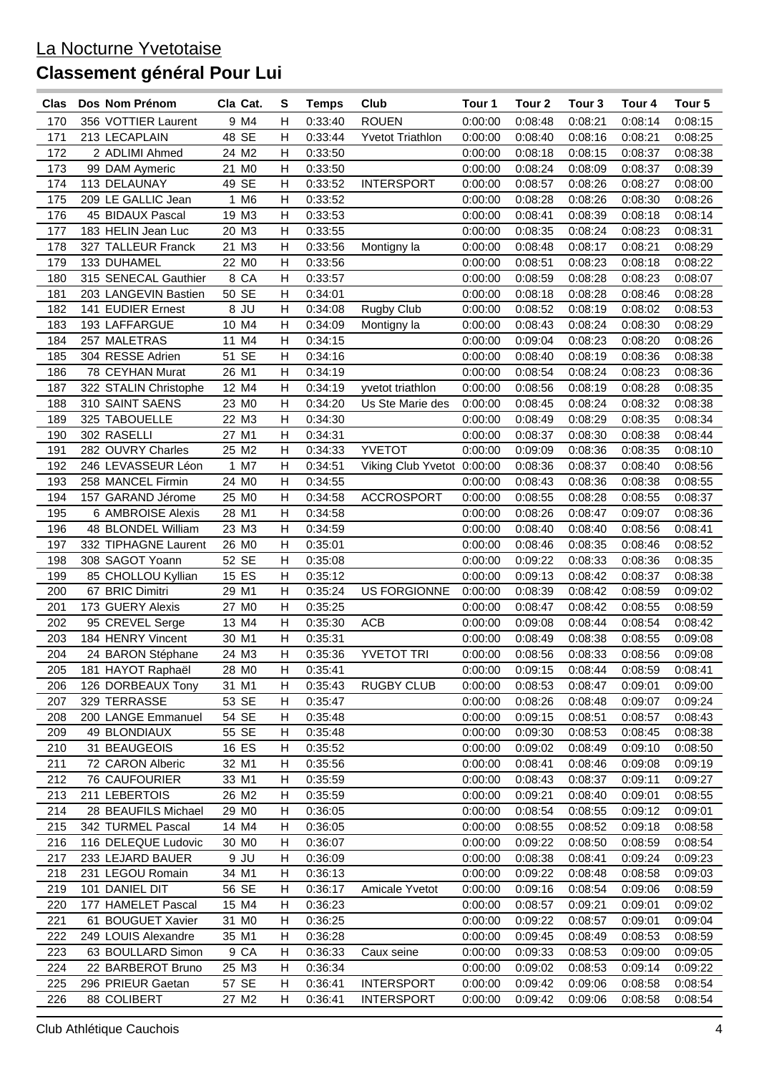| Clas | Dos Nom Prénom                         | Cla Cat.          | s                         | <b>Temps</b> | Club                       | Tour 1             | Tour 2             | Tour 3  | Tour 4  | Tour <sub>5</sub> |
|------|----------------------------------------|-------------------|---------------------------|--------------|----------------------------|--------------------|--------------------|---------|---------|-------------------|
| 170  | 356 VOTTIER Laurent                    | 9 M4              | н                         | 0:33:40      | <b>ROUEN</b>               | 0:00:00            | 0:08:48            | 0:08:21 | 0:08:14 | 0:08:15           |
| 171  | 213 LECAPLAIN                          | 48 SE             | н                         | 0:33:44      | <b>Yvetot Triathlon</b>    | 0:00:00            | 0:08:40            | 0:08:16 | 0:08:21 | 0:08:25           |
| 172  | 2 ADLIMI Ahmed                         | 24 M2             | Н                         | 0:33:50      |                            | 0:00:00            | 0:08:18            | 0:08:15 | 0:08:37 | 0:08:38           |
| 173  | 99 DAM Aymeric                         | 21 MO             | $\mathsf{H}$              | 0:33:50      |                            | 0:00:00            | 0:08:24            | 0:08:09 | 0:08:37 | 0:08:39           |
| 174  | 113 DELAUNAY                           | 49 SE             | Н                         | 0:33:52      | <b>INTERSPORT</b>          | 0:00:00            | 0:08:57            | 0:08:26 | 0:08:27 | 0:08:00           |
| 175  | 209 LE GALLIC Jean                     | 1 M6              | н                         | 0:33:52      |                            | 0:00:00            | 0:08:28            | 0:08:26 | 0:08:30 | 0:08:26           |
| 176  | 45 BIDAUX Pascal                       | 19 M3             | н                         | 0:33:53      |                            | 0:00:00            | 0:08:41            | 0:08:39 | 0:08:18 | 0:08:14           |
| 177  | 183 HELIN Jean Luc                     | 20 M3             | Н                         | 0:33:55      |                            | 0:00:00            | 0:08:35            | 0:08:24 | 0:08:23 | 0:08:31           |
| 178  | 327 TALLEUR Franck                     | 21 M3             | н                         | 0:33:56      | Montigny la                | 0:00:00            | 0:08:48            | 0:08:17 | 0:08:21 | 0:08:29           |
| 179  | 133 DUHAMEL                            | 22 M <sub>0</sub> | н                         | 0:33:56      |                            | 0:00:00            | 0:08:51            | 0:08:23 | 0:08:18 | 0:08:22           |
| 180  | 315 SENECAL Gauthier                   | 8 CA              | H                         | 0:33:57      |                            | 0:00:00            | 0:08:59            | 0:08:28 | 0:08:23 | 0:08:07           |
| 181  | 203 LANGEVIN Bastien                   | 50 SE             | H                         | 0:34:01      |                            | 0:00:00            | 0:08:18            | 0:08:28 | 0:08:46 | 0:08:28           |
| 182  | 141 EUDIER Ernest                      | 8 JU              | Н                         | 0:34:08      | Rugby Club                 | 0:00:00            | 0:08:52            | 0:08:19 | 0:08:02 | 0:08:53           |
| 183  | 193 LAFFARGUE                          | 10 M4             | $\mathsf{H}$              | 0:34:09      | Montigny la                | 0:00:00            | 0:08:43            | 0:08:24 | 0:08:30 | 0:08:29           |
| 184  | 257 MALETRAS                           | 11 M4             | н                         | 0:34:15      |                            | 0:00:00            | 0:09:04            | 0:08:23 | 0:08:20 | 0:08:26           |
| 185  | 304 RESSE Adrien                       | 51 SE             | H                         | 0:34:16      |                            | 0:00:00            | 0:08:40            | 0:08:19 | 0:08:36 | 0:08:38           |
| 186  | 78 CEYHAN Murat                        | 26 M1             | H                         | 0:34:19      |                            | 0:00:00            | 0:08:54            | 0:08:24 | 0:08:23 | 0:08:36           |
| 187  | 322 STALIN Christophe                  | 12 M4             | H                         | 0:34:19      | yvetot triathlon           | 0:00:00            | 0:08:56            | 0:08:19 | 0:08:28 | 0:08:35           |
| 188  | 310 SAINT SAENS                        | 23 MO             | H                         | 0:34:20      | Us Ste Marie des           | 0:00:00            | 0:08:45            | 0:08:24 | 0:08:32 | 0:08:38           |
| 189  | 325 TABOUELLE                          | 22 M3             | H                         | 0:34:30      |                            | 0:00:00            | 0:08:49            | 0:08:29 | 0:08:35 | 0:08:34           |
| 190  | 302 RASELLI                            | 27 M1             | н                         | 0:34:31      |                            | 0:00:00            | 0:08:37            | 0:08:30 | 0:08:38 | 0:08:44           |
| 191  | 282 OUVRY Charles                      | 25 M2             | н                         | 0:34:33      | <b>YVETOT</b>              | 0:00:00            | 0:09:09            | 0:08:36 | 0:08:35 | 0:08:10           |
| 192  | 246 LEVASSEUR Léon                     | 1 M7              | н                         | 0:34:51      | Viking Club Yvetot 0:00:00 |                    | 0:08:36            | 0:08:37 | 0:08:40 | 0:08:56           |
| 193  | 258 MANCEL Firmin                      | 24 M <sub>0</sub> | H                         | 0:34:55      |                            | 0:00:00            | 0:08:43            | 0:08:36 | 0:08:38 | 0:08:55           |
| 194  | 157 GARAND Jérome                      | 25 MO             | н                         | 0:34:58      | <b>ACCROSPORT</b>          | 0:00:00            | 0:08:55            | 0:08:28 | 0:08:55 | 0:08:37           |
| 195  | 6 AMBROISE Alexis                      | 28 M1             | н                         | 0:34:58      |                            | 0:00:00            | 0:08:26            | 0:08:47 | 0:09:07 | 0:08:36           |
| 196  | 48 BLONDEL William                     | 23 M3             | н                         | 0:34:59      |                            | 0:00:00            | 0:08:40            | 0:08:40 | 0:08:56 | 0:08:41           |
| 197  | 332 TIPHAGNE Laurent                   | 26 MO             | н                         | 0:35:01      |                            | 0:00:00            | 0:08:46            | 0:08:35 | 0:08:46 | 0:08:52           |
| 198  | 308 SAGOT Yoann                        | 52 SE             | Н                         | 0:35:08      |                            | 0:00:00            | 0:09:22            | 0:08:33 | 0:08:36 | 0:08:35           |
| 199  | 85 CHOLLOU Kyllian                     | 15 ES             | н                         | 0:35:12      |                            | 0:00:00            | 0:09:13            | 0:08:42 | 0:08:37 | 0:08:38           |
| 200  | 67 BRIC Dimitri                        | 29 M1             | H                         | 0:35:24      | <b>US FORGIONNE</b>        | 0:00:00            | 0:08:39            | 0:08:42 | 0:08:59 | 0:09:02           |
| 201  | 173 GUERY Alexis                       | 27 M <sub>0</sub> | н                         | 0:35:25      |                            | 0:00:00            | 0:08:47            | 0:08:42 | 0:08:55 | 0:08:59           |
| 202  | 95 CREVEL Serge                        | 13 M4             | H                         | 0:35:30      | ACB                        | 0:00:00            | 0:09:08            | 0:08:44 | 0:08:54 | 0:08:42           |
| 203  | 184 HENRY Vincent                      | 30 M1             | $\mathsf{H}$              | 0:35:31      |                            | 0:00:00            | 0:08:49            | 0:08:38 | 0:08:55 | 0:09:08           |
| 204  | 24 BARON Stéphane                      | 24 M3             | $\overline{H}$            | 0:35:36      | <b>YVETOT TRI</b>          | 0:00:00            | 0:08:56            | 0:08:33 | 0:08:56 | 0:09:08           |
| 205  |                                        | 28 MO             | $\boldsymbol{\mathsf{H}}$ | 0:35:41      |                            |                    | 0:09:15            | 0:08:44 | 0:08:59 | 0:08:41           |
| 206  | 181 HAYOT Raphaël<br>126 DORBEAUX Tony | 31 M1             | H.                        | 0:35:43      | <b>RUGBY CLUB</b>          | 0:00:00<br>0:00:00 | 0:08:53            | 0:08:47 | 0:09:01 | 0:09:00           |
| 207  | 329 TERRASSE                           | 53 SE             |                           |              |                            |                    |                    |         |         |                   |
|      |                                        | 54 SE             | н<br>Н                    | 0:35:47      |                            | 0:00:00            | 0:08:26<br>0:09:15 | 0:08:48 | 0:09:07 | 0:09:24           |
| 208  | 200 LANGE Emmanuel                     |                   |                           | 0:35:48      |                            | 0:00:00            |                    | 0:08:51 | 0:08:57 | 0:08:43           |
| 209  | 49 BLONDIAUX                           | 55 SE             | Н                         | 0:35:48      |                            | 0:00:00            | 0:09:30            | 0:08:53 | 0:08:45 | 0:08:38           |
| 210  | 31 BEAUGEOIS                           | 16 ES             | н                         | 0:35:52      |                            | 0:00:00            | 0:09:02            | 0:08:49 | 0:09:10 | 0:08:50           |
| 211  | 72 CARON Alberic                       | 32 M1             | н                         | 0:35:56      |                            | 0:00:00            | 0:08:41            | 0:08:46 | 0:09:08 | 0:09:19           |
| 212  | <b>76 CAUFOURIER</b>                   | 33 M1             | н                         | 0:35:59      |                            | 0:00:00            | 0:08:43            | 0:08:37 | 0:09:11 | 0:09:27           |
| 213  | 211 LEBERTOIS                          | 26 M2             | н                         | 0:35:59      |                            | 0:00:00            | 0:09:21            | 0:08:40 | 0:09:01 | 0:08:55           |
| 214  | 28 BEAUFILS Michael                    | 29 M <sub>0</sub> | Н                         | 0:36:05      |                            | 0:00:00            | 0:08:54            | 0:08:55 | 0:09:12 | 0:09:01           |
| 215  | 342 TURMEL Pascal                      | 14 M4             | Н                         | 0:36:05      |                            | 0:00:00            | 0:08:55            | 0:08:52 | 0:09:18 | 0:08:58           |
| 216  | 116 DELEQUE Ludovic                    | 30 M <sub>0</sub> | н                         | 0:36:07      |                            | 0:00:00            | 0:09:22            | 0:08:50 | 0:08:59 | 0:08:54           |
| 217  | 233 LEJARD BAUER                       | 9 JU              | н                         | 0:36:09      |                            | 0:00:00            | 0:08:38            | 0:08:41 | 0:09:24 | 0:09:23           |
| 218  | 231 LEGOU Romain                       | 34 M1             | н                         | 0:36:13      |                            | 0:00:00            | 0:09:22            | 0:08:48 | 0:08:58 | 0:09:03           |
| 219  | 101 DANIEL DIT                         | 56 SE             | н                         | 0:36:17      | Amicale Yvetot             | 0:00:00            | 0:09:16            | 0:08:54 | 0:09:06 | 0:08:59           |
| 220  | 177 HAMELET Pascal                     | 15 M4             | H.                        | 0:36:23      |                            | 0:00:00            | 0:08:57            | 0:09:21 | 0:09:01 | 0:09:02           |
| 221  | 61 BOUGUET Xavier                      | 31 MO             | н                         | 0:36:25      |                            | 0:00:00            | 0:09:22            | 0:08:57 | 0:09:01 | 0:09:04           |
| 222  | 249 LOUIS Alexandre                    | 35 M1             | Н                         | 0:36:28      |                            | 0:00:00            | 0:09:45            | 0:08:49 | 0:08:53 | 0:08:59           |
| 223  | 63 BOULLARD Simon                      | 9 CA              | Н                         | 0:36:33      | Caux seine                 | 0:00:00            | 0:09:33            | 0:08:53 | 0:09:00 | 0:09:05           |
| 224  | 22 BARBEROT Bruno                      | 25 M3             | H                         | 0:36:34      |                            | 0:00:00            | 0:09:02            | 0:08:53 | 0:09:14 | 0:09:22           |
| 225  | 296 PRIEUR Gaetan                      | 57 SE             | Н                         | 0:36:41      | <b>INTERSPORT</b>          | 0:00:00            | 0:09:42            | 0:09:06 | 0:08:58 | 0:08:54           |
| 226  | 88 COLIBERT                            | 27 M2             | H                         | 0:36:41      | <b>INTERSPORT</b>          | 0:00:00            | 0:09:42            | 0:09:06 | 0:08:58 | 0:08:54           |
|      |                                        |                   |                           |              |                            |                    |                    |         |         |                   |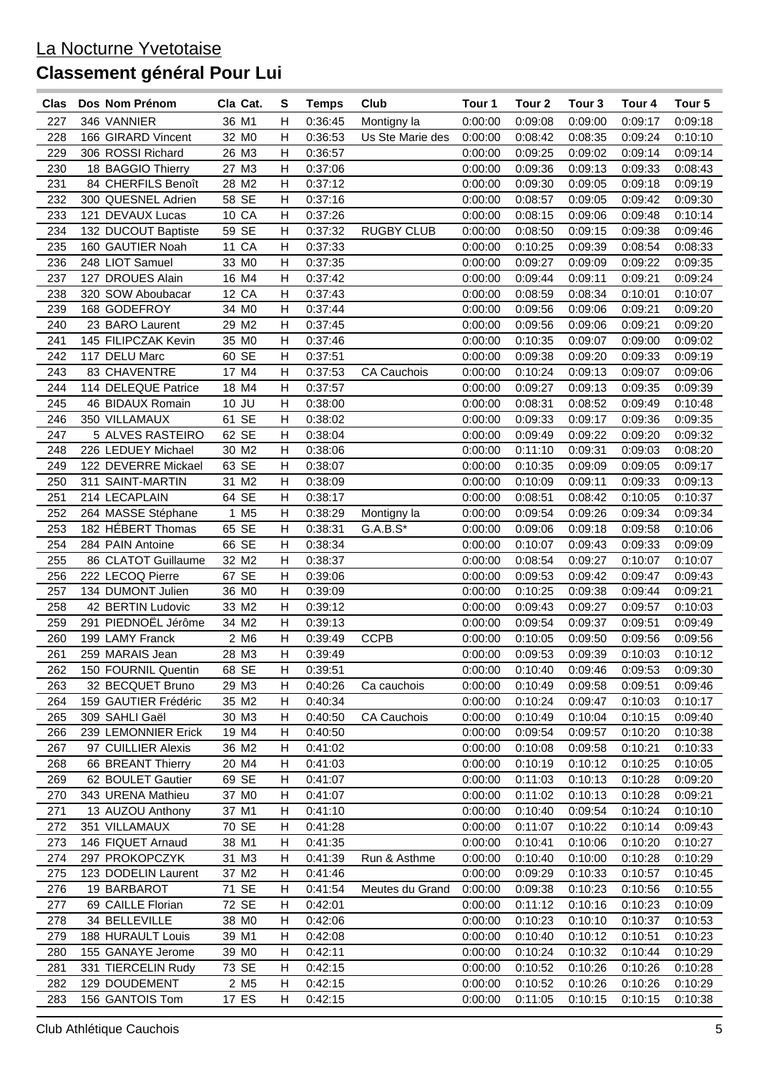| Clas | Dos Nom Prénom       | Cla Cat.          | S                         | <b>Temps</b> | Club               | Tour 1  | Tour <sub>2</sub> | Tour <sub>3</sub> | Tour 4  | Tour 5  |
|------|----------------------|-------------------|---------------------------|--------------|--------------------|---------|-------------------|-------------------|---------|---------|
| 227  | 346 VANNIER          | 36 M1             | н                         | 0:36:45      | Montigny la        | 0:00:00 | 0:09:08           | 0:09:00           | 0:09:17 | 0:09:18 |
| 228  | 166 GIRARD Vincent   | 32 MO             | H                         | 0:36:53      | Us Ste Marie des   | 0:00:00 | 0:08:42           | 0:08:35           | 0:09:24 | 0:10:10 |
| 229  | 306 ROSSI Richard    | 26 M3             | H                         | 0:36:57      |                    | 0:00:00 | 0:09:25           | 0:09:02           | 0:09:14 | 0:09:14 |
| 230  | 18 BAGGIO Thierry    | 27 M3             | H                         | 0:37:06      |                    | 0:00:00 | 0:09:36           | 0:09:13           | 0:09:33 | 0:08:43 |
| 231  | 84 CHERFILS Benoît   | 28 M2             | Н                         | 0:37:12      |                    | 0:00:00 | 0:09:30           | 0:09:05           | 0:09:18 | 0:09:19 |
| 232  | 300 QUESNEL Adrien   | 58 SE             | Н                         | 0:37:16      |                    | 0:00:00 | 0:08:57           | 0:09:05           | 0:09:42 | 0:09:30 |
| 233  | 121 DEVAUX Lucas     | 10 CA             | Н                         | 0:37:26      |                    | 0:00:00 | 0:08:15           | 0:09:06           | 0:09:48 | 0:10:14 |
| 234  | 132 DUCOUT Baptiste  | 59 SE             | Н                         | 0:37:32      | <b>RUGBY CLUB</b>  | 0:00:00 | 0:08:50           | 0:09:15           | 0:09:38 | 0:09:46 |
| 235  | 160 GAUTIER Noah     | 11 CA             | Н                         | 0:37:33      |                    | 0:00:00 | 0:10:25           | 0:09:39           | 0:08:54 | 0:08:33 |
| 236  | 248 LIOT Samuel      | 33 MO             | н                         | 0:37:35      |                    | 0:00:00 | 0:09:27           | 0:09:09           | 0:09:22 | 0:09:35 |
| 237  | 127 DROUES Alain     | 16 M4             | H                         | 0:37:42      |                    | 0:00:00 | 0:09:44           | 0:09:11           | 0:09:21 | 0:09:24 |
|      |                      |                   |                           |              |                    |         |                   |                   |         |         |
| 238  | 320 SOW Aboubacar    | 12 CA             | Н                         | 0:37:43      |                    | 0:00:00 | 0:08:59           | 0:08:34           | 0:10:01 | 0:10:07 |
| 239  | 168 GODEFROY         | 34 M <sub>0</sub> | H                         | 0:37:44      |                    | 0:00:00 | 0:09:56           | 0:09:06           | 0:09:21 | 0:09:20 |
| 240  | 23 BARO Laurent      | 29 M2             | H                         | 0:37:45      |                    | 0:00:00 | 0:09:56           | 0:09:06           | 0:09:21 | 0:09:20 |
| 241  | 145 FILIPCZAK Kevin  | 35 MO             | Н                         | 0:37:46      |                    | 0:00:00 | 0:10:35           | 0:09:07           | 0:09:00 | 0:09:02 |
| 242  | 117 DELU Marc        | 60 SE             | н                         | 0:37:51      |                    | 0:00:00 | 0:09:38           | 0:09:20           | 0:09:33 | 0:09:19 |
| 243  | 83 CHAVENTRE         | 17 M4             | н                         | 0:37:53      | <b>CA Cauchois</b> | 0:00:00 | 0:10:24           | 0:09:13           | 0:09:07 | 0:09:06 |
| 244  | 114 DELEQUE Patrice  | 18 M4             | H                         | 0:37:57      |                    | 0:00:00 | 0:09:27           | 0:09:13           | 0:09:35 | 0:09:39 |
| 245  | 46 BIDAUX Romain     | 10 JU             | H                         | 0:38:00      |                    | 0:00:00 | 0:08:31           | 0:08:52           | 0:09:49 | 0:10:48 |
| 246  | 350 VILLAMAUX        | 61 SE             | Н                         | 0:38:02      |                    | 0:00:00 | 0:09:33           | 0:09:17           | 0:09:36 | 0:09:35 |
| 247  | 5 ALVES RASTEIRO     | 62 SE             | н                         | 0:38:04      |                    | 0:00:00 | 0:09:49           | 0:09:22           | 0:09:20 | 0:09:32 |
| 248  | 226 LEDUEY Michael   | 30 M2             | н                         | 0:38:06      |                    | 0:00:00 | 0:11:10           | 0:09:31           | 0:09:03 | 0:08:20 |
| 249  | 122 DEVERRE Mickael  | 63 SE             | н                         | 0:38:07      |                    | 0:00:00 | 0:10:35           | 0:09:09           | 0:09:05 | 0:09:17 |
| 250  | 311 SAINT-MARTIN     | 31 M2             | H                         | 0:38:09      |                    | 0:00:00 | 0:10:09           | 0:09:11           | 0:09:33 | 0:09:13 |
| 251  | 214 LECAPLAIN        | 64 SE             | Н                         | 0:38:17      |                    | 0:00:00 | 0:08:51           | 0:08:42           | 0:10:05 | 0:10:37 |
| 252  | 264 MASSE Stéphane   | 1 M <sub>5</sub>  | н                         | 0:38:29      | Montigny la        | 0:00:00 | 0:09:54           | 0:09:26           | 0:09:34 | 0:09:34 |
| 253  | 182 HÉBERT Thomas    | 65 SE             | Н                         | 0:38:31      | $G.A.B.S*$         | 0:00:00 | 0:09:06           | 0:09:18           | 0:09:58 | 0:10:06 |
| 254  | 284 PAIN Antoine     | 66 SE             | Н                         | 0:38:34      |                    | 0:00:00 | 0:10:07           | 0:09:43           | 0:09:33 | 0:09:09 |
| 255  | 86 CLATOT Guillaume  | 32 M2             | Н                         | 0:38:37      |                    | 0:00:00 | 0:08:54           | 0:09:27           | 0:10:07 | 0:10:07 |
| 256  | 222 LECOQ Pierre     | 67 SE             | н                         | 0:39:06      |                    | 0:00:00 | 0:09:53           | 0:09:42           | 0:09:47 | 0:09:43 |
| 257  | 134 DUMONT Julien    | 36 MO             | н                         | 0:39:09      |                    | 0:00:00 | 0:10:25           | 0:09:38           | 0:09:44 | 0:09:21 |
| 258  | 42 BERTIN Ludovic    | 33 M2             | н                         | 0:39:12      |                    | 0:00:00 | 0:09:43           | 0:09:27           | 0:09:57 | 0:10:03 |
| 259  | 291 PIEDNOËL Jérôme  | 34 M2             | H                         | 0:39:13      |                    | 0:00:00 | 0:09:54           | 0:09:37           | 0:09:51 | 0:09:49 |
| 260  | 199 LAMY Franck      | 2 M6              | $\mathsf{H}$              | 0:39:49      | <b>CCPB</b>        | 0:00:00 | 0:10:05           | 0:09:50           | 0:09:56 | 0:09:56 |
| 261  | 259 MARAIS Jean      | 28 M3             | $\overline{H}$            | 0:39:49      |                    | 0:00:00 | 0:09:53           | 0:09:39           | 0:10:03 | 0:10:12 |
| 262  | 150 FOURNIL Quentin  | 68 SE             | $\boldsymbol{\mathsf{H}}$ | 0:39:51      |                    | 0:00:00 | 0:10:40           | 0:09:46           | 0:09:53 | 0:09:30 |
| 263  | 32 BECQUET Bruno     | 29 M3             | H                         | 0:40:26      | Ca cauchois        | 0:00:00 | 0:10:49           | 0:09:58           | 0:09:51 | 0:09:46 |
| 264  | 159 GAUTIER Frédéric | 35 M2             | н                         | 0:40:34      |                    | 0:00:00 | 0:10:24           | 0:09:47           | 0:10:03 | 0:10:17 |
| 265  |                      | 30 M3             | Н                         |              | <b>CA Cauchois</b> |         | 0:10:49           |                   |         |         |
|      | 309 SAHLI Gaël       |                   |                           | 0:40:50      |                    | 0:00:00 |                   | 0:10:04           | 0:10:15 | 0:09:40 |
| 266  | 239 LEMONNIER Erick  | 19 M4             | Н                         | 0:40:50      |                    | 0:00:00 | 0:09:54           | 0:09:57           | 0:10:20 | 0:10:38 |
| 267  | 97 CUILLIER Alexis   | 36 M2             | Н                         | 0:41:02      |                    | 0:00:00 | 0:10:08           | 0:09:58           | 0:10:21 | 0:10:33 |
| 268  | 66 BREANT Thierry    | 20 M4             | н                         | 0:41:03      |                    | 0:00:00 | 0:10:19           | 0:10:12           | 0:10:25 | 0:10:05 |
| 269  | 62 BOULET Gautier    | 69 SE             | н                         | 0:41:07      |                    | 0:00:00 | 0:11:03           | 0:10:13           | 0:10:28 | 0:09:20 |
| 270  | 343 URENA Mathieu    | 37 M <sub>0</sub> | н                         | 0:41:07      |                    | 0:00:00 | 0:11:02           | 0:10:13           | 0:10:28 | 0:09:21 |
| 271  | 13 AUZOU Anthony     | 37 M1             | Н                         | 0:41:10      |                    | 0:00:00 | 0:10:40           | 0:09:54           | 0:10:24 | 0:10:10 |
| 272  | 351 VILLAMAUX        | 70 SE             | Н                         | 0:41:28      |                    | 0:00:00 | 0:11:07           | 0:10:22           | 0:10:14 | 0:09:43 |
| 273  | 146 FIQUET Arnaud    | 38 M1             | н                         | 0:41:35      |                    | 0:00:00 | 0:10:41           | 0:10:06           | 0:10:20 | 0:10:27 |
| 274  | 297 PROKOPCZYK       | 31 M3             | н                         | 0:41:39      | Run & Asthme       | 0:00:00 | 0:10:40           | 0:10:00           | 0:10:28 | 0:10:29 |
| 275  | 123 DODELIN Laurent  | 37 M2             | н                         | 0:41:46      |                    | 0:00:00 | 0:09:29           | 0:10:33           | 0:10:57 | 0:10:45 |
| 276  | 19 BARBAROT          | 71 SE             | н                         | 0:41:54      | Meutes du Grand    | 0:00:00 | 0:09:38           | 0:10:23           | 0:10:56 | 0:10:55 |
| 277  | 69 CAILLE Florian    | 72 SE             | н                         | 0:42:01      |                    | 0:00:00 | 0:11:12           | 0:10:16           | 0:10:23 | 0:10:09 |
| 278  | 34 BELLEVILLE        | 38 MO             | н                         | 0:42:06      |                    | 0:00:00 | 0:10:23           | 0:10:10           | 0:10:37 | 0:10:53 |
| 279  | 188 HURAULT Louis    | 39 M1             | Н                         | 0:42:08      |                    | 0:00:00 | 0:10:40           | 0:10:12           | 0:10:51 | 0:10:23 |
| 280  | 155 GANAYE Jerome    | 39 M <sub>0</sub> | Н                         | 0:42:11      |                    | 0:00:00 | 0:10:24           | 0:10:32           | 0:10:44 | 0:10:29 |
| 281  | 331 TIERCELIN Rudy   | 73 SE             | H                         | 0:42:15      |                    | 0:00:00 | 0:10:52           | 0:10:26           | 0:10:26 | 0:10:28 |
| 282  | 129 DOUDEMENT        | 2 M <sub>5</sub>  | Н                         | 0:42:15      |                    | 0:00:00 | 0:10:52           | 0:10:26           | 0:10:26 | 0:10:29 |
| 283  | 156 GANTOIS Tom      | 17 ES             | H                         | 0:42:15      |                    | 0:00:00 | 0:11:05           | 0:10:15           | 0:10:15 | 0:10:38 |
|      |                      |                   |                           |              |                    |         |                   |                   |         |         |